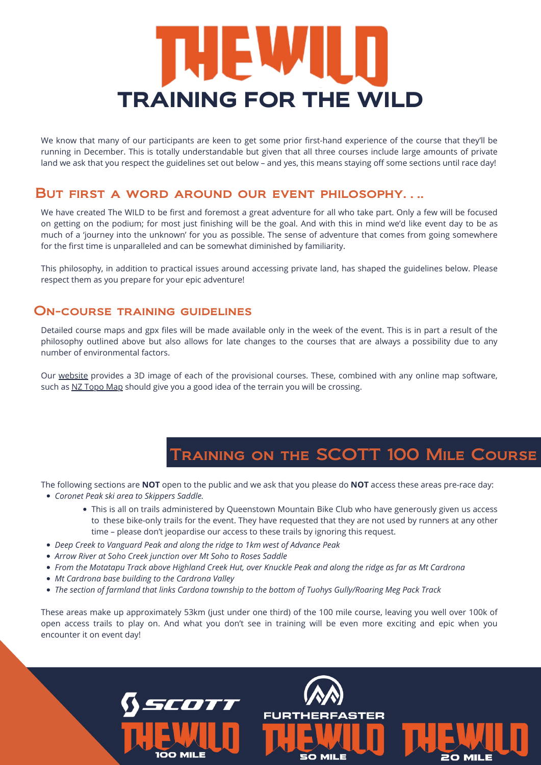# **TRAINING FOR THE WILD**

We know that many of our participants are keen to get some prior first-hand experience of the course that they'll be running in December. This is totally understandable but given that all three courses include large amounts of private land we ask that you respect the guidelines set out below – and yes, this means staying off some sections until race day!

We have created The WILD to be first and foremost a great adventure for all who take part. Only a few will be focused on getting on the podium; for most just finishing will be the goal. And with this in mind we'd like event day to be as much of a 'journey into the unknown' for you as possible. The sense of adventure that comes from going somewhere for the first time is unparalleled and can be somewhat diminished by familiarity.

This philosophy, in addition to practical issues around accessing private land, has shaped the guidelines below. Please respect them as you prepare for your epic adventure!

#### But first a word around our event philosophy….

#### On-course training guidelines

Detailed course maps and gpx files will be made available only in the week of the event. This is in part a result of the philosophy outlined above but also allows for late changes to the courses that are always a possibility due to any number of environmental factors.

Our [website](https://www.thewild100.co.nz/courses) provides a 3D image of each of the provisional courses. These, combined with any online map software, such as [NZ Topo Map](http://www.topomap.co.nz/) should give you a good idea of the terrain you will be crossing.

### Training on the SCOTT 100 Mile Course

The following sections are **NOT** open to the public and we ask that you please do **NOT** access these areas pre-race day:

- *Coronet Peak ski area to Skippers Saddle.*
	- This is all on trails administered by Queenstown Mountain Bike Club who have generously given us access to these bike-only trails for the event. They have requested that they are not used by runners at any other time – please don't jeopardise our access to these trails by ignoring this request.
- *Deep Creek to Vanguard Peak and along the ridge to 1km west of Advance Peak*
- *Arrow River at Soho Creek junction over Mt Soho to Roses Saddle*
- *From the Motatapu Track above Highland Creek Hut, over Knuckle Peak and along the ridge as far as Mt Cardrona*
- *Mt Cardrona base building to the Cardrona Valley*
- *The section of farmland that links Cardona township to the bottom of Tuohys Gully/Roaring Meg Pack Track*

These areas make up approximately 53km (just under one third) of the 100 mile course, leaving you well over 100k of open access trails to play on. And what you don't see in training will be even more exciting and epic when you encounter it on event day!

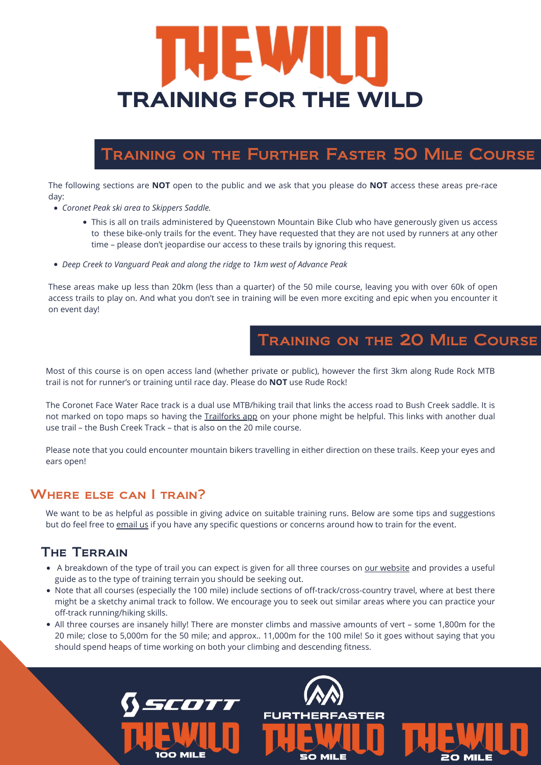## Training on the Further Faster 50 Mile Course

# THEW IT **TRAINING FOR THE WILD**

- *Coronet Peak ski area to Skippers Saddle.*
	- This is all on trails administered by Queenstown Mountain Bike Club who have generously given us access to these bike-only trails for the event. They have requested that they are not used by runners at any other time – please don't jeopardise our access to these trails by ignoring this request.
- *Deep Creek to Vanguard Peak and along the ridge to 1km west of Advance Peak*

The following sections are **NOT** open to the public and we ask that you please do **NOT** access these areas pre-race day:

These areas make up less than 20km (less than a quarter) of the 50 mile course, leaving you with over 60k of open access trails to play on. And what you don't see in training will be even more exciting and epic when you encounter it on event day!

not marked on topo maps so having the [Trailforks app](https://www.trailforks.com/) on your phone might be helpful. This links with another dual use trail – the Bush Creek Track – that is also on the 20 mile course.

### Training on the 20 Mile Course

We want to be as helpful as possible in giving advice on suitable training runs. Below are some tips and suggestions but do feel free to [email us](mailto:info@thewild100.co.nz) if you have any specific questions or concerns around how to train for the event.

Most of this course is on open access land (whether private or public), however the first 3km along Rude Rock MTB trail is not for runner's or training until race day. Please do **NOT** use Rude Rock!

The Coronet Face Water Race track is a dual use MTB/hiking trail that links the access road to Bush Creek saddle. It is

- A breakdown of the type of trail you can expect is given for all three courses on [our website](https://www.thewild100.co.nz/courses) and provides a useful guide as to the type of training terrain you should be seeking out.
- Note that all courses (especially the 100 mile) include sections of off-track/cross-country travel, where at best there might be a sketchy animal track to follow. We encourage you to seek out similar areas where you can practice your off-track running/hiking skills.
- All three courses are insanely hilly! There are monster climbs and massive amounts of vert some 1,800m for the 20 mile; close to 5,000m for the 50 mile; and approx.. 11,000m for the 100 mile! So it goes without saying that you should spend heaps of time working on both your climbing and descending fitness.



Please note that you could encounter mountain bikers travelling in either direction on these trails. Keep your eyes and ears open!

#### WHERE ELSE CAN I TRAIN?

#### The Terrain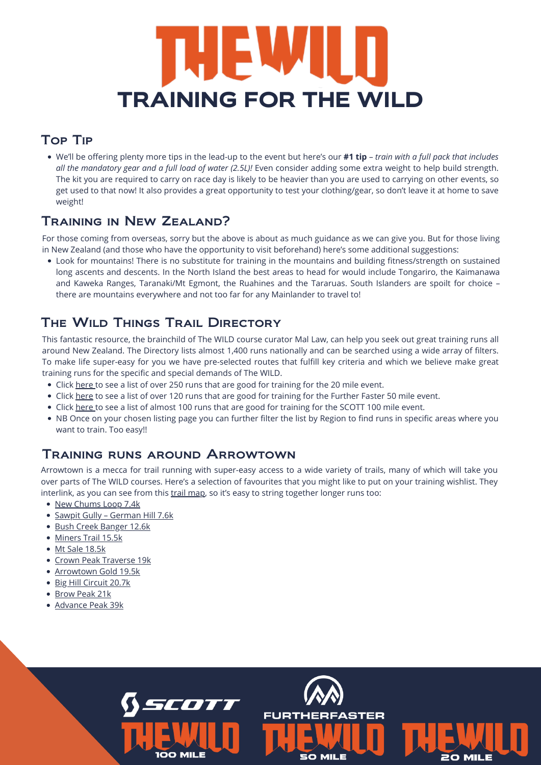# HIEW JI **TRAINING FOR THE WILD**

#### Top Tip

### Training in New Zealand?

Look for mountains! There is no substitute for training in the mountains and building fitness/strength on sustained long ascents and descents. In the North Island the best areas to head for would include Tongariro, the Kaimanawa and Kaweka Ranges, Taranaki/Mt Egmont, the Ruahines and the Tararuas. South Islanders are spoilt for choice – there are mountains everywhere and not too far for any Mainlander to travel to!

### THE WILD THINGS TRAIL DIRECTORY

For those coming from overseas, sorry but the above is about as much guidance as we can give you. But for those living in New Zealand (and those who have the opportunity to visit beforehand) here's some additional suggestions:

- Click [here](https://www.wildthings.club/trails/thewild20/) to see a list of over 250 runs that are good for training for the 20 mile event.
- Click [here](https://www.wildthings.club/trails/thewild50/) to see a list of over 120 runs that are good for training for the Further Faster 50 mile event.
- Click [here](https://www.wildthings.club/trails/thewild100/) to see a list of almost 100 runs that are good for training for the SCOTT 100 mile event.
- 
- NB Once on your chosen listing page you can further filter the list by Region to find runs in specific areas where you want to train. Too easy!!

Arrowtown is a mecca for trail running with super-easy access to a wide variety of trails, many of which will take you over parts of The WILD courses. Here's a selection of favourites that you might like to put on your training wishlist. They interlink, as you can see from this [trail map](https://www.wildthings.club/trails/otago/arrowtown/), so it's easy to string together longer runs too:

- [New Chums Loop 7.4k](https://www.wildthings.club/trails/otago/arrowtown/new-chums-loop/)
- Sawpit Gully German Hill 7.6k
- [Bush Creek Banger 12.6k](https://www.wildthings.club/trails/otago/arrowtown/bush-creek-banger/)
- [Miners Trail 15.5k](https://www.wildthings.club/trails/otago/arrowtown/miners-trail/)
- [Mt Sale 18.5k](https://www.wildthings.club/trails/otago/arrowtown/mt-sale-via-crown-peak-and-mt-scott/)
- [Crown Peak Traverse 19k](https://www.wildthings.club/trails/otago/arrowtown/crown-peak-traverse/)
- [Arrowtown Gold 19.5k](https://www.wildthings.club/trails/otago/arrowtown/arrowtown-gold/)
- [Big Hill Circuit 20.7k](https://www.wildthings.club/trails/otago/arrowtown/big-hill-circuit/)
- [Brow Peak 21k](https://www.wildthings.club/trails/otago/arrowtown/brow-peak-mini-mission/)
- [Advance Peak 39k](https://www.wildthings.club/trails/otago/arrowtown/advance-peak-via-big-hill-inbound-and-macetown-road-outbound-/)



This fantastic resource, the brainchild of The WILD course curator Mal Law, can help you seek out great training runs all around New Zealand. The Directory lists almost 1,400 runs nationally and can be searched using a wide array of filters. To make life super-easy for you we have pre-selected routes that fulfill key criteria and which we believe make great training runs for the specific and special demands of The WILD.

We'll be offering plenty more tips in the lead-up to the event but here's our **#1 tip** – *train with a full pack that includes all the mandatory gear and a full load of water (2.5L)!* Even consider adding some extra weight to help build strength. The kit you are required to carry on race day is likely to be heavier than you are used to carrying on other events, so get used to that now! It also provides a great opportunity to test your clothing/gear, so don't leave it at home to save weight!

#### Training runs around Arrowtown